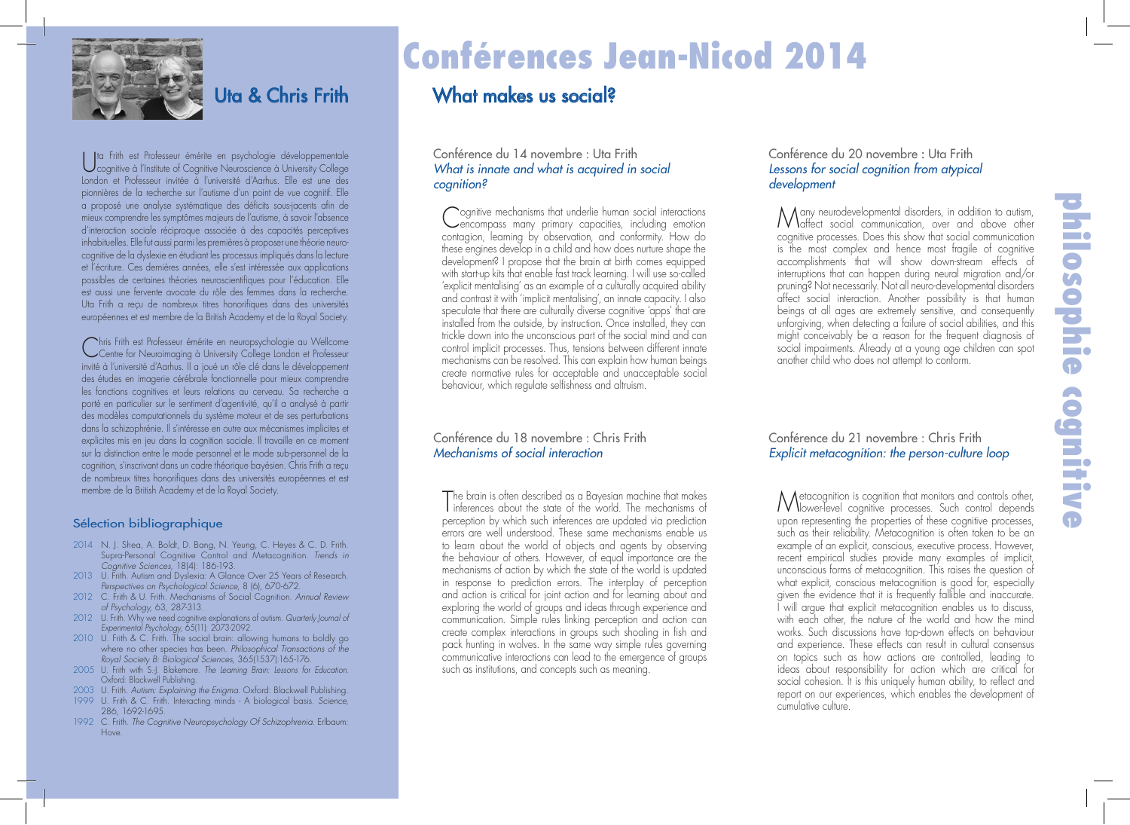

### Uta & Chris Frith

Uta Frith est Professeur émérite en psychologie développementale cognitive à l'Institute of Cognitive Neuroscience à University College London et Professeur invitée à l'université d'Aarhus. Elle est une des pionnières de la recherche sur l'autisme d'un point de vue cognitif. Elle a proposé une analyse systématique des déficits sous-jacents afin de mieux comprendre les symptômes majeurs de l'autisme, à savoir l'absence d'interaction sociale réciproque associée à des capacités perceptives inhabituelles. Elle fut aussi parmi les premières à proposer une théorie neurocognitive de la dyslexie en étudiant les processus impliqués dans la lecture et l'écriture. Ces dernières années, elle s'est intéressée aux applications possibles de certaines théories neuroscientifiques pour l'éducation. Elle est aussi une fervente avocate du rôle des femmes dans la recherche. Uta Frith a reçu de nombreux titres honorifiques dans des universités européennes et est membre de la British Academy et de la Royal Society.

Chris Frith est Professeur émérite en neuropsychologie au Wellcome Centre for Neuroimaging à University College London et Professeur invité à l'université d'Aarhus. Il a joué un rôle clé dans le développement des études en imagerie cérébrale fonctionnelle pour mieux comprendre les fonctions cognitives et leurs relations au cerveau. Sa recherche a porté en particulier sur le sentiment d'agentivité, qu'il a analysé à partir des modèles computationnels du système moteur et de ses perturbations dans la schizophrénie. Il s'intéresse en outre aux mécanismes implicites et explicites mis en jeu dans la cognition sociale. Il travaille en ce moment sur la distinction entre le mode personnel et le mode sub-personnel de la cognition, s'inscrivant dans un cadre théorique bayésien. Chris Frith a reçu de nombreux titres honorifiques dans des universités européennes et est membre de la British Academy et de la Royal Society.

#### Sélection bibliographique

- 2014 N. J. Shea, A. Boldt, D. Bang, N. Yeung, C. Heyes & C. D. Frith. Supra-Personal Cognitive Control and Metacognition. *Trends in Cognitive Sciences*, 18(4): 186-193.
- 2013 U. Frith. Autism and Dyslexia: A Glance Over 25 Years of Research. *Perspectives on Psychological Science*, 8 (6), 670-672.
- 2012 C. Frith & U. Frith. Mechanisms of Social Cognition. *Annual Review of Psychology,* 63, 287-313.
- 2012 U. Frith. Why we need cognitive explanations of autism. *Quarterly Journal of Experimental Psychology,* 65(11): 2073-2092.
- 2010 U. Frith & C. Frith. The social brain: allowing humans to boldly go where no other species has been. *Philosophical Transactions of the Royal Society B: Biological Sciences*, 365(1537):165-176.
- 2005 U. Frith with S.-J. Blakemore. *The Learning Brain: Lessons for Education*. Oxford: Blackwell Publishing.
- 2003 U. Frith. *Autism: Explaining the Enigma*. Oxford: Blackwell Publishing.
- 1999 U. Frith & C. Frith. Interacting minds A biological basis. *Science*, 286, 1692-1695.
- 1992 C. Frith. *The Cognitive Neuropsychology Of Schizophrenia*. Erlbaum: Hove.

# Conférences Jean-Nicod 2014

# What makes us social?

#### Conférence du 14 novembre : Uta Frith *What is innate and what is acquired in social cognition?*

C ognitive mechanisms that underlie human social interactions encompass many primary capacities, including emotion contagion, learning by observation, and conformity. How do these engines develop in a child and how does nurture shape the development? I propose that the brain at birth comes equipped with start-up kits that enable fast track learning. I will use so-called 'explicit mentalising' as an example of a culturally acquired ability and contrast it with 'implicit mentalising', an innate capacity. I also speculate that there are culturally diverse cognitive 'apps' that are installed from the outside, by instruction. Once installed, they can trickle down into the unconscious part of the social mind and can control implicit processes. Thus, tensions between different innate mechanisms can be resolved. This can explain how human beings create normative rules for acceptable and unacceptable social behaviour, which regulate selfishness and altruism.

#### Conférence du 18 novembre : Chris Frith *Mechanisms of social interaction*

T he brain is often described as a Bayesian machine that makes inferences about the state of the world. The mechanisms of perception by which such inferences are updated via prediction errors are well understood. These same mechanisms enable us to learn about the world of objects and agents by observing the behaviour of others. However, of equal importance are the mechanisms of action by which the state of the world is updated in response to prediction errors. The interplay of perception and action is critical for joint action and for learning about and exploring the world of groups and ideas through experience and communication. Simple rules linking perception and action can create complex interactions in groups such shoaling in fish and pack hunting in wolves. In the same way simple rules governing communicative interactions can lead to the emergence of groups such as institutions, and concepts such as meaning.

#### Conférence du 20 novembre : Uta Frith *Lessons for social cognition from atypical development*

Many neurodevelopmental disorders, in addition to autism, affect social communication, over and above other cognitive processes. Does this show that social communication is the most complex and hence most fragile of cognitive accomplishments that will show down-stream effects of interruptions that can happen during neural migration and/or pruning? Not necessarily. Not all neuro-developmental disorders affect social interaction. Another possibility is that human beings at all ages are extremely sensitive, and consequently unforgiving, when detecting a failure of social abilities, and this might conceivably be a reason for the frequent diagnosis of social impairments. Already at a young age children can spot another child who does not attempt to conform.

#### Conférence du 21 novembre : Chris Frith *Explicit metacognition: the person-culture loop*

M etacognition is cognition that monitors and controls other, lower-level cognitive processes. Such control depends upon representing the properties of these cognitive processes, such as their reliability. Metacognition is often taken to be an example of an explicit, conscious, executive process. However, recent empirical studies provide many examples of implicit, unconscious forms of metacognition. This raises the question of what explicit, conscious metacognition is good for, especially given the evidence that it is frequently fallible and inaccurate. I will argue that explicit metacognition enables us to discuss, with each other, the nature of the world and how the mind works. Such discussions have top-down effects on behaviour and experience. These effects can result in cultural consensus on topics such as how actions are controlled, leading to ideas about responsibility for action which are critical for social cohesion. It is this uniquely human ability, to reflect and report on our experiences, which enables the development of cumulative culture.